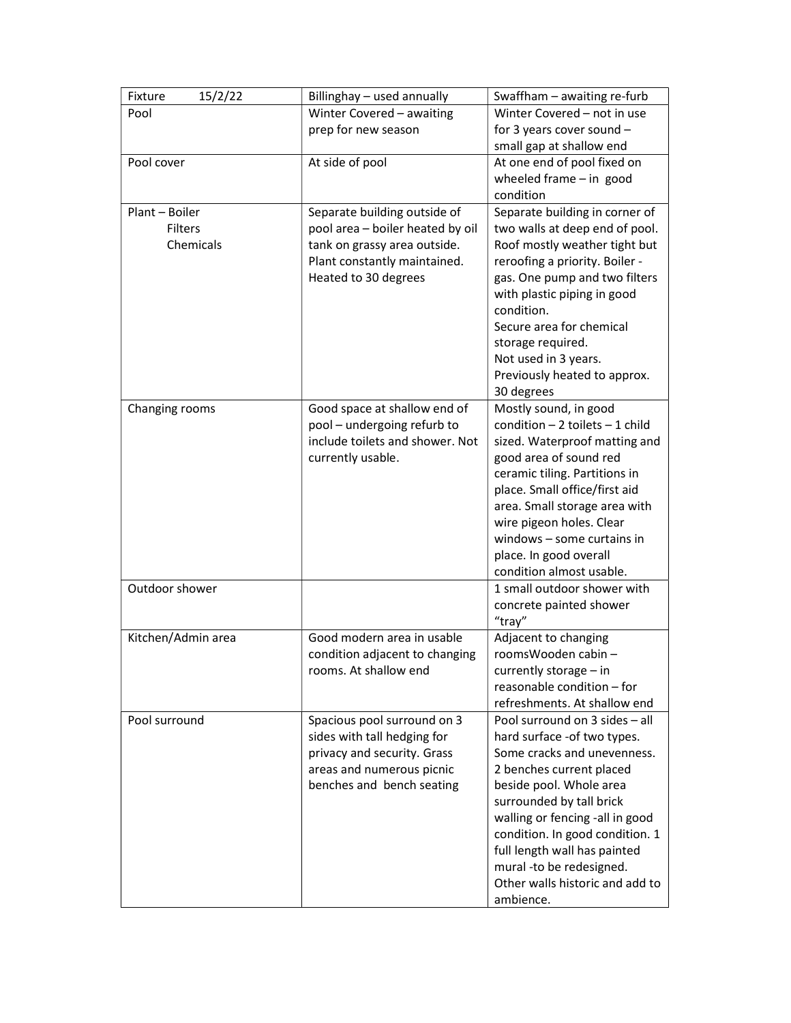| Winter Covered - awaiting<br>Winter Covered - not in use<br>Pool<br>prep for new season<br>for 3 years cover sound -<br>small gap at shallow end<br>At side of pool<br>At one end of pool fixed on<br>Pool cover<br>wheeled frame $-$ in good<br>condition<br>Plant - Boiler<br>Separate building in corner of<br>Separate building outside of<br>Filters<br>pool area - boiler heated by oil<br>two walls at deep end of pool.<br>Chemicals<br>tank on grassy area outside.<br>Roof mostly weather tight but<br>Plant constantly maintained.<br>reroofing a priority. Boiler -<br>Heated to 30 degrees<br>gas. One pump and two filters<br>with plastic piping in good<br>condition.<br>Secure area for chemical<br>storage required.<br>Not used in 3 years. |
|----------------------------------------------------------------------------------------------------------------------------------------------------------------------------------------------------------------------------------------------------------------------------------------------------------------------------------------------------------------------------------------------------------------------------------------------------------------------------------------------------------------------------------------------------------------------------------------------------------------------------------------------------------------------------------------------------------------------------------------------------------------|
|                                                                                                                                                                                                                                                                                                                                                                                                                                                                                                                                                                                                                                                                                                                                                                |
|                                                                                                                                                                                                                                                                                                                                                                                                                                                                                                                                                                                                                                                                                                                                                                |
|                                                                                                                                                                                                                                                                                                                                                                                                                                                                                                                                                                                                                                                                                                                                                                |
|                                                                                                                                                                                                                                                                                                                                                                                                                                                                                                                                                                                                                                                                                                                                                                |
|                                                                                                                                                                                                                                                                                                                                                                                                                                                                                                                                                                                                                                                                                                                                                                |
|                                                                                                                                                                                                                                                                                                                                                                                                                                                                                                                                                                                                                                                                                                                                                                |
|                                                                                                                                                                                                                                                                                                                                                                                                                                                                                                                                                                                                                                                                                                                                                                |
|                                                                                                                                                                                                                                                                                                                                                                                                                                                                                                                                                                                                                                                                                                                                                                |
|                                                                                                                                                                                                                                                                                                                                                                                                                                                                                                                                                                                                                                                                                                                                                                |
|                                                                                                                                                                                                                                                                                                                                                                                                                                                                                                                                                                                                                                                                                                                                                                |
|                                                                                                                                                                                                                                                                                                                                                                                                                                                                                                                                                                                                                                                                                                                                                                |
|                                                                                                                                                                                                                                                                                                                                                                                                                                                                                                                                                                                                                                                                                                                                                                |
|                                                                                                                                                                                                                                                                                                                                                                                                                                                                                                                                                                                                                                                                                                                                                                |
|                                                                                                                                                                                                                                                                                                                                                                                                                                                                                                                                                                                                                                                                                                                                                                |
|                                                                                                                                                                                                                                                                                                                                                                                                                                                                                                                                                                                                                                                                                                                                                                |
|                                                                                                                                                                                                                                                                                                                                                                                                                                                                                                                                                                                                                                                                                                                                                                |
| Previously heated to approx.                                                                                                                                                                                                                                                                                                                                                                                                                                                                                                                                                                                                                                                                                                                                   |
| 30 degrees                                                                                                                                                                                                                                                                                                                                                                                                                                                                                                                                                                                                                                                                                                                                                     |
| Mostly sound, in good<br>Changing rooms<br>Good space at shallow end of                                                                                                                                                                                                                                                                                                                                                                                                                                                                                                                                                                                                                                                                                        |
| condition $-2$ toilets $-1$ child<br>pool - undergoing refurb to                                                                                                                                                                                                                                                                                                                                                                                                                                                                                                                                                                                                                                                                                               |
| include toilets and shower. Not<br>sized. Waterproof matting and                                                                                                                                                                                                                                                                                                                                                                                                                                                                                                                                                                                                                                                                                               |
| currently usable.<br>good area of sound red                                                                                                                                                                                                                                                                                                                                                                                                                                                                                                                                                                                                                                                                                                                    |
| ceramic tiling. Partitions in                                                                                                                                                                                                                                                                                                                                                                                                                                                                                                                                                                                                                                                                                                                                  |
| place. Small office/first aid                                                                                                                                                                                                                                                                                                                                                                                                                                                                                                                                                                                                                                                                                                                                  |
| area. Small storage area with                                                                                                                                                                                                                                                                                                                                                                                                                                                                                                                                                                                                                                                                                                                                  |
| wire pigeon holes. Clear                                                                                                                                                                                                                                                                                                                                                                                                                                                                                                                                                                                                                                                                                                                                       |
| windows $-$ some curtains in                                                                                                                                                                                                                                                                                                                                                                                                                                                                                                                                                                                                                                                                                                                                   |
| place. In good overall                                                                                                                                                                                                                                                                                                                                                                                                                                                                                                                                                                                                                                                                                                                                         |
| condition almost usable.                                                                                                                                                                                                                                                                                                                                                                                                                                                                                                                                                                                                                                                                                                                                       |
| Outdoor shower<br>1 small outdoor shower with                                                                                                                                                                                                                                                                                                                                                                                                                                                                                                                                                                                                                                                                                                                  |
| concrete painted shower                                                                                                                                                                                                                                                                                                                                                                                                                                                                                                                                                                                                                                                                                                                                        |
| "tray"                                                                                                                                                                                                                                                                                                                                                                                                                                                                                                                                                                                                                                                                                                                                                         |
| Kitchen/Admin area<br>Good modern area in usable<br>Adjacent to changing                                                                                                                                                                                                                                                                                                                                                                                                                                                                                                                                                                                                                                                                                       |
| roomsWooden cabin -<br>condition adjacent to changing                                                                                                                                                                                                                                                                                                                                                                                                                                                                                                                                                                                                                                                                                                          |
| rooms. At shallow end<br>currently storage - in<br>reasonable condition - for                                                                                                                                                                                                                                                                                                                                                                                                                                                                                                                                                                                                                                                                                  |
|                                                                                                                                                                                                                                                                                                                                                                                                                                                                                                                                                                                                                                                                                                                                                                |
| refreshments. At shallow end                                                                                                                                                                                                                                                                                                                                                                                                                                                                                                                                                                                                                                                                                                                                   |
| Spacious pool surround on 3<br>Pool surround on 3 sides - all<br>Pool surround                                                                                                                                                                                                                                                                                                                                                                                                                                                                                                                                                                                                                                                                                 |
| hard surface - of two types.<br>sides with tall hedging for                                                                                                                                                                                                                                                                                                                                                                                                                                                                                                                                                                                                                                                                                                    |
| Some cracks and unevenness.<br>privacy and security. Grass<br>2 benches current placed                                                                                                                                                                                                                                                                                                                                                                                                                                                                                                                                                                                                                                                                         |
| areas and numerous picnic<br>benches and bench seating                                                                                                                                                                                                                                                                                                                                                                                                                                                                                                                                                                                                                                                                                                         |
| beside pool. Whole area                                                                                                                                                                                                                                                                                                                                                                                                                                                                                                                                                                                                                                                                                                                                        |
| surrounded by tall brick                                                                                                                                                                                                                                                                                                                                                                                                                                                                                                                                                                                                                                                                                                                                       |
| walling or fencing -all in good                                                                                                                                                                                                                                                                                                                                                                                                                                                                                                                                                                                                                                                                                                                                |
| condition. In good condition. 1<br>full length wall has painted                                                                                                                                                                                                                                                                                                                                                                                                                                                                                                                                                                                                                                                                                                |
| mural -to be redesigned.                                                                                                                                                                                                                                                                                                                                                                                                                                                                                                                                                                                                                                                                                                                                       |
| Other walls historic and add to                                                                                                                                                                                                                                                                                                                                                                                                                                                                                                                                                                                                                                                                                                                                |
| ambience.                                                                                                                                                                                                                                                                                                                                                                                                                                                                                                                                                                                                                                                                                                                                                      |